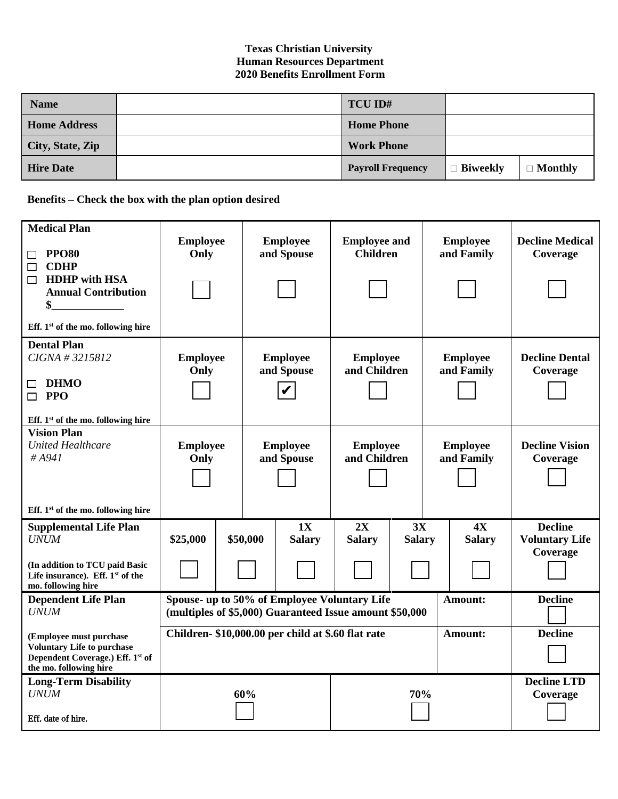## **Texas Christian University Human Resources Department 2020 Benefits Enrollment Form**

| <b>Name</b>         | TCU ID#                  |                 |                |
|---------------------|--------------------------|-----------------|----------------|
| <b>Home Address</b> | <b>Home Phone</b>        |                 |                |
| City, State, Zip    | <b>Work Phone</b>        |                 |                |
| <b>Hire Date</b>    | <b>Payroll Frequency</b> | $\Box$ Biweekly | $\Box$ Monthly |

**Benefits – Check the box with the plan option desired**

| <b>Medical Plan</b><br><b>PPO80</b><br>$\Box$<br><b>CDHP</b><br>$\Box$<br><b>HDHP</b> with HSA<br>$\Box$<br><b>Annual Contribution</b><br>\$ | <b>Employee</b><br>Only                                                                                 |                | <b>Employee</b><br>and Spouse | <b>Employee and</b><br><b>Children</b> |               | <b>Employee</b><br>and Family |                                | <b>Decline Medical</b><br>Coverage |  |
|----------------------------------------------------------------------------------------------------------------------------------------------|---------------------------------------------------------------------------------------------------------|----------------|-------------------------------|----------------------------------------|---------------|-------------------------------|--------------------------------|------------------------------------|--|
| Eff. 1 <sup>st</sup> of the mo. following hire                                                                                               |                                                                                                         |                |                               |                                        |               |                               |                                |                                    |  |
| <b>Dental Plan</b><br>CIGNA # 3215812<br><b>DHMO</b><br>□<br>$\Box$ PPO                                                                      | <b>Employee</b><br>Only                                                                                 |                | <b>Employee</b><br>and Spouse | <b>Employee</b><br>and Children        |               | <b>Employee</b><br>and Family |                                | <b>Decline Dental</b><br>Coverage  |  |
| Eff. $1st$ of the mo. following hire<br><b>Vision Plan</b>                                                                                   |                                                                                                         |                |                               |                                        |               |                               |                                |                                    |  |
| <b>United Healthcare</b><br>#A941<br>Eff. $1st$ of the mo. following hire                                                                    | <b>Employee</b><br>Only                                                                                 |                | <b>Employee</b><br>and Spouse | <b>Employee</b><br>and Children        |               | <b>Employee</b><br>and Family |                                | <b>Decline Vision</b><br>Coverage  |  |
|                                                                                                                                              |                                                                                                         |                | 1X                            | 2X                                     | 3X            |                               | 4X                             | <b>Decline</b>                     |  |
| <b>Supplemental Life Plan</b><br><b>UNUM</b><br>(In addition to TCU paid Basic<br>Life insurance). Eff. 1 <sup>st</sup> of the               | \$25,000                                                                                                | \$50,000       | <b>Salary</b>                 | <b>Salary</b>                          | <b>Salary</b> |                               | <b>Salary</b>                  | <b>Voluntary Life</b><br>Coverage  |  |
| mo. following hire                                                                                                                           |                                                                                                         |                |                               |                                        |               |                               |                                |                                    |  |
| <b>Dependent Life Plan</b><br><b>UNUM</b>                                                                                                    | Spouse- up to 50% of Employee Voluntary Life<br>(multiples of \$5,000) Guaranteed Issue amount \$50,000 | <b>Decline</b> |                               |                                        |               |                               |                                |                                    |  |
| (Employee must purchase<br><b>Voluntary Life to purchase</b><br>Dependent Coverage.) Eff. 1st of<br>the mo. following hire                   | Children- \$10,000.00 per child at \$.60 flat rate<br>Amount:                                           |                |                               |                                        |               |                               |                                | <b>Decline</b>                     |  |
| <b>Long-Term Disability</b><br><b>UNUM</b><br>Eff. date of hire.                                                                             |                                                                                                         | 60%            | 70%                           |                                        |               |                               | <b>Decline LTD</b><br>Coverage |                                    |  |